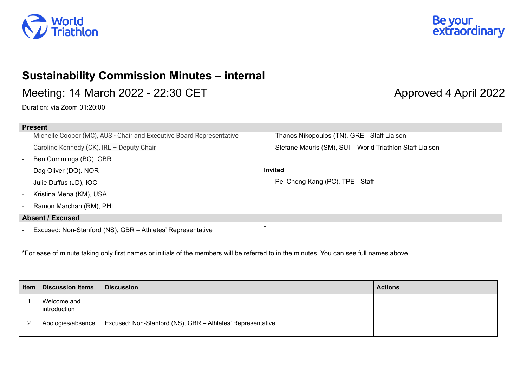



# **Sustainability Commission Minutes – internal**

Meeting: 14 March 2022 - 22:30 CET Approved 4 April 2022

Duration: via Zoom 01:20:00

### **Present**

- Michelle Cooper (MC), AUS Chair and Executive Board Representative
- Caroline Kennedy **(**CK), IRL Deputy Chair
- Ben Cummings (BC), GBR
- Dag Oliver (DO). NOR
- Julie Duffus (JD), IOC
- Kristina Mena (KM), USA
- Ramon Marchan (RM), PHI

# **Absent / Excused**

Excused: Non-Stanford (NS), GBR - Athletes' Representative

\*For ease of minute taking only first names or initials of the members will be referred to in the minutes. You can see full names above.

| Item $ $ | <b>Discussion Items</b>     | <b>Discussion</b>                                          | <b>Actions</b> |
|----------|-----------------------------|------------------------------------------------------------|----------------|
|          | Welcome and<br>introduction |                                                            |                |
| 2        | Apologies/absence           | Excused: Non-Stanford (NS), GBR - Athletes' Representative |                |

- Thanos Nikopoulos (TN), GRE Staff Liaison
- Stefane Mauris (SM), SUI World Triathlon Staff Liaison

## **Invited**

Pei Cheng Kang (PC), TPE - Staff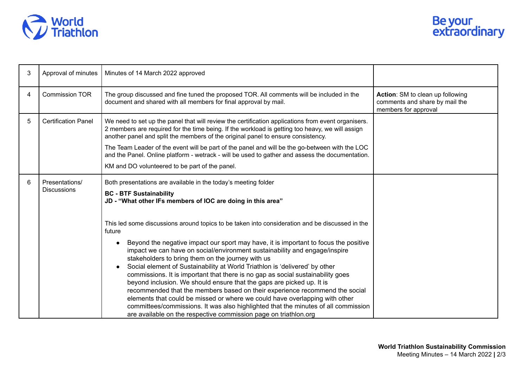

| 3 | Approval of minutes                  | Minutes of 14 March 2022 approved                                                                                                                                                                                                                                                                                                                                                                                                                                                                                                                                                                                                                                                                                                                                                                                                                                                                      |                                                                                            |
|---|--------------------------------------|--------------------------------------------------------------------------------------------------------------------------------------------------------------------------------------------------------------------------------------------------------------------------------------------------------------------------------------------------------------------------------------------------------------------------------------------------------------------------------------------------------------------------------------------------------------------------------------------------------------------------------------------------------------------------------------------------------------------------------------------------------------------------------------------------------------------------------------------------------------------------------------------------------|--------------------------------------------------------------------------------------------|
| 4 | <b>Commission TOR</b>                | The group discussed and fine tuned the proposed TOR. All comments will be included in the<br>document and shared with all members for final approval by mail.                                                                                                                                                                                                                                                                                                                                                                                                                                                                                                                                                                                                                                                                                                                                          | Action: SM to clean up following<br>comments and share by mail the<br>members for approval |
| 5 | <b>Certification Panel</b>           | We need to set up the panel that will review the certification applications from event organisers.<br>2 members are required for the time being. If the workload is getting too heavy, we will assign<br>another panel and split the members of the original panel to ensure consistency.                                                                                                                                                                                                                                                                                                                                                                                                                                                                                                                                                                                                              |                                                                                            |
|   |                                      | The Team Leader of the event will be part of the panel and will be the go-between with the LOC<br>and the Panel. Online platform - wetrack - will be used to gather and assess the documentation.                                                                                                                                                                                                                                                                                                                                                                                                                                                                                                                                                                                                                                                                                                      |                                                                                            |
|   |                                      | KM and DO volunteered to be part of the panel.                                                                                                                                                                                                                                                                                                                                                                                                                                                                                                                                                                                                                                                                                                                                                                                                                                                         |                                                                                            |
| 6 | Presentations/<br><b>Discussions</b> | Both presentations are available in the today's meeting folder<br><b>BC - BTF Sustainability</b><br>JD - "What other IFs members of IOC are doing in this area"                                                                                                                                                                                                                                                                                                                                                                                                                                                                                                                                                                                                                                                                                                                                        |                                                                                            |
|   |                                      | This led some discussions around topics to be taken into consideration and be discussed in the<br>future<br>Beyond the negative impact our sport may have, it is important to focus the positive<br>impact we can have on social/environment sustainability and engage/inspire<br>stakeholders to bring them on the journey with us<br>Social element of Sustainability at World Triathlon is 'delivered' by other<br>commissions. It is important that there is no gap as social sustainability goes<br>beyond inclusion. We should ensure that the gaps are picked up. It is<br>recommended that the members based on their experience recommend the social<br>elements that could be missed or where we could have overlapping with other<br>committees/commissions. It was also highlighted that the minutes of all commission<br>are available on the respective commission page on triathlon.org |                                                                                            |